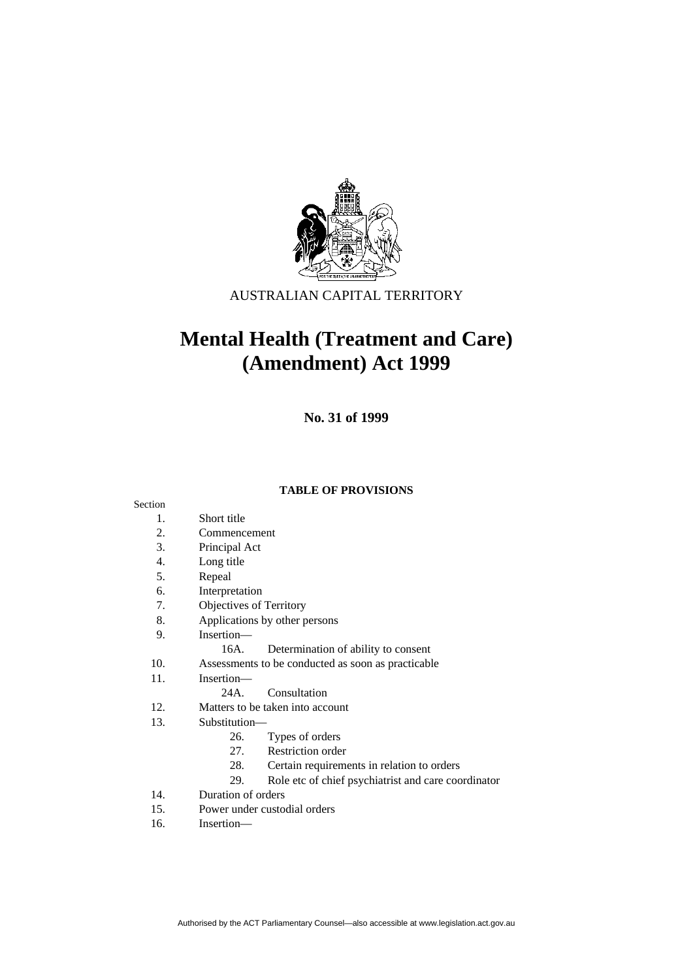

AUSTRALIAN CAPITAL TERRITORY

# **Mental Health (Treatment and Care) (Amendment) Act 1999**

**No. 31 of 1999** 

### **TABLE OF PROVISIONS**

#### Section

- 1. Short title
- 2. Commencement
- 3. Principal Act
- 4. Long title
- 5. Repeal
- 6. Interpretation
- 7. Objectives of Territory
- 8. Applications by other persons
- 9. Insertion—
	- 16A. Determination of ability to consent
- 10. Assessments to be conducted as soon as practicable
- 11. Insertion—
	- 24A. Consultation
- 12. Matters to be taken into account
- 13. Substitution—
	- 26. Types of orders
	- 27. Restriction order
	- 28. Certain requirements in relation to orders
	- 29. Role etc of chief psychiatrist and care coordinator
- 14. Duration of orders
- 15. Power under custodial orders
- 16. Insertion—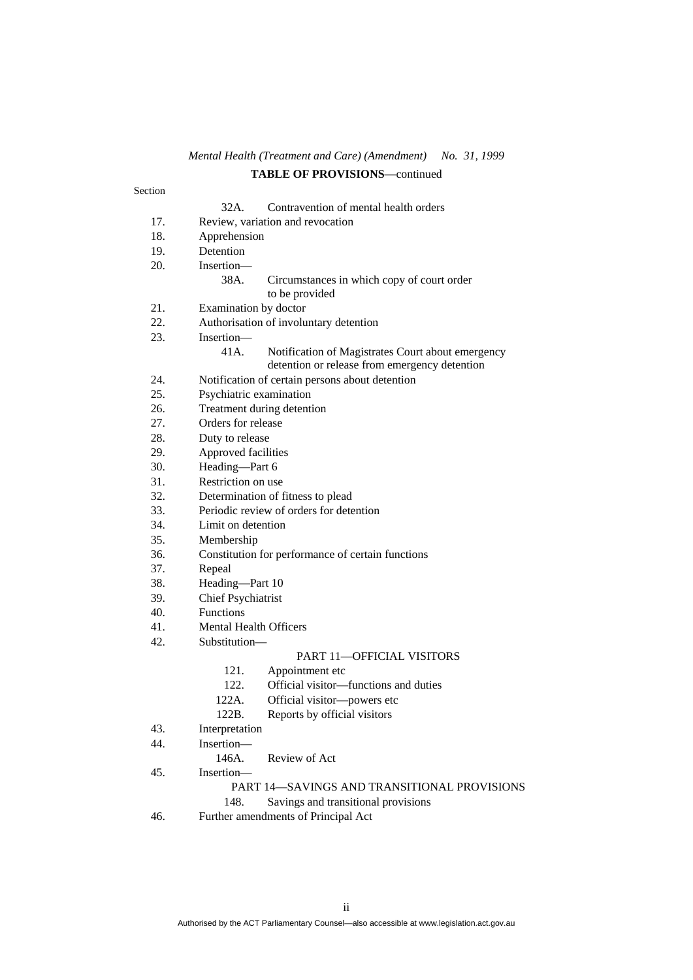### *Mental Health (Treatment and Care) (Amendment) No. 31, 1999*  **TABLE OF PROVISIONS**—continued

# Section 32A. Contravention of mental health orders 17. Review, variation and revocation 18. Apprehension 19. Detention 20. Insertion— 38A. Circumstances in which copy of court order to be provided 21. Examination by doctor 22. Authorisation of involuntary detention 23. Insertion— 41A. Notification of Magistrates Court about emergency detention or release from emergency detention 24. Notification of certain persons about detention 25. Psychiatric examination 26. Treatment during detention 27. Orders for release 28. Duty to release 29. Approved facilities 30. Heading—Part 6 31. Restriction on use 32. Determination of fitness to plead 33. Periodic review of orders for detention 34. Limit on detention 35. Membership 36. Constitution for performance of certain functions 37. Repeal 38. Heading—Part 10 39. Chief Psychiatrist 40. Functions 41. Mental Health Officers 42. Substitution— PART 11—OFFICIAL VISITORS 121. Appointment etc 122. Official visitor—functions and duties 122A. Official visitor—powers etc 122B. Reports by official visitors 43. Interpretation 44. Insertion— 146A. Review of Act 45. Insertion— PART 14—SAVINGS AND TRANSITIONAL PROVISIONS 148. Savings and transitional provisions 46. Further amendments of Principal Act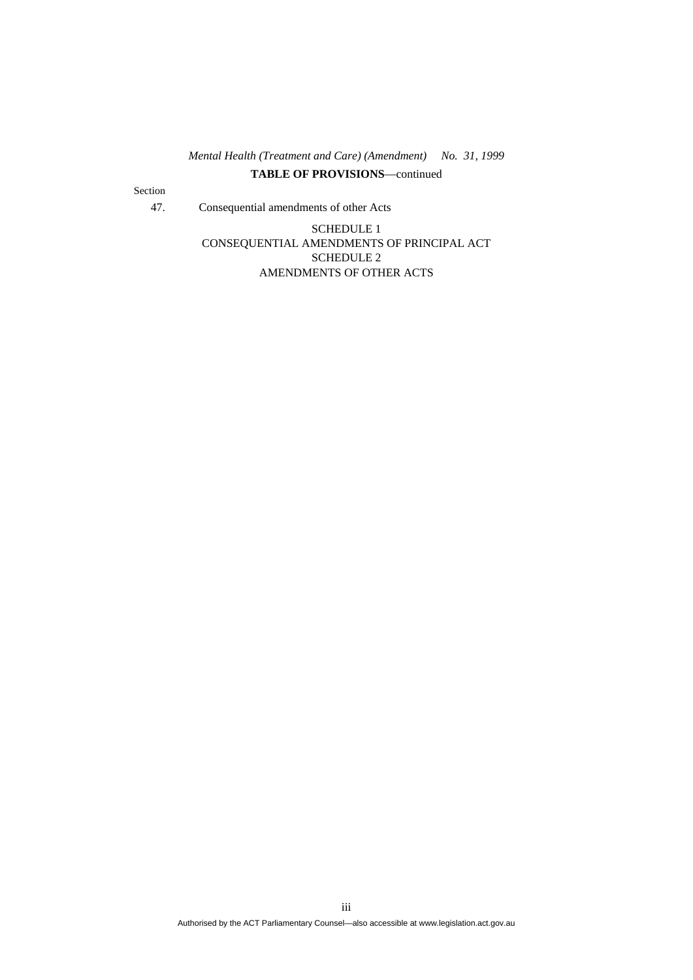# *Mental Health (Treatment and Care) (Amendment) No. 31, 1999*  **TABLE OF PROVISIONS**—continued

Section

47. Consequential amendments of other Acts

SCHEDULE 1 CONSEQUENTIAL AMENDMENTS OF PRINCIPAL ACT SCHEDULE 2 AMENDMENTS OF OTHER ACTS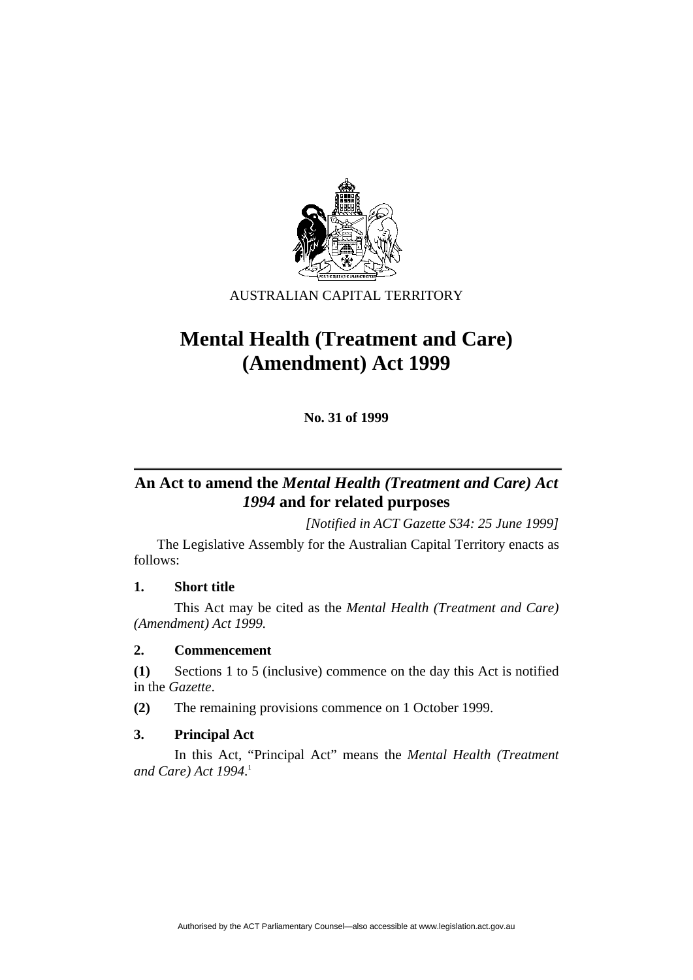

AUSTRALIAN CAPITAL TERRITORY

# **Mental Health (Treatment and Care) (Amendment) Act 1999**

**No. 31 of 1999** 

# **An Act to amend the** *Mental Health (Treatment and Care) Act 1994* **and for related purposes**

*[Notified in ACT Gazette S34: 25 June 1999]* 

 The Legislative Assembly for the Australian Capital Territory enacts as follows:

# **1. Short title**

 This Act may be cited as the *Mental Health (Treatment and Care) (Amendment) Act 1999.*

# **2. Commencement**

**(1)** Sections 1 to 5 (inclusive) commence on the day this Act is notified in the *Gazette*.

**(2)** The remaining provisions commence on 1 October 1999.

# **3. Principal Act**

 In this Act, "Principal Act" means the *Mental Health (Treatment and Care) Act 1994*. 1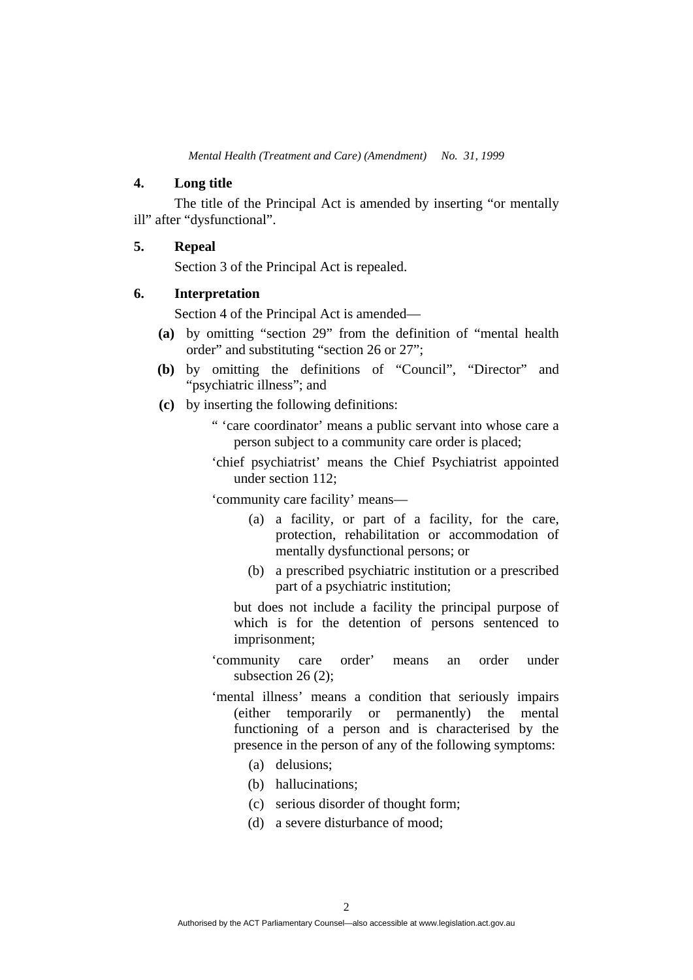# **4. Long title**

 The title of the Principal Act is amended by inserting "or mentally ill" after "dysfunctional".

# **5. Repeal**

Section 3 of the Principal Act is repealed.

#### **6. Interpretation**

Section 4 of the Principal Act is amended—

- **(a)** by omitting "section 29" from the definition of "mental health order" and substituting "section 26 or 27";
- **(b)** by omitting the definitions of "Council", "Director" and "psychiatric illness"; and
- **(c)** by inserting the following definitions:
	- " 'care coordinator' means a public servant into whose care a person subject to a community care order is placed;
	- 'chief psychiatrist' means the Chief Psychiatrist appointed under section 112;

'community care facility' means—

- (a) a facility, or part of a facility, for the care, protection, rehabilitation or accommodation of mentally dysfunctional persons; or
- (b) a prescribed psychiatric institution or a prescribed part of a psychiatric institution;

but does not include a facility the principal purpose of which is for the detention of persons sentenced to imprisonment;

- 'community care order' means an order under subsection 26 (2);
- 'mental illness' means a condition that seriously impairs (either temporarily or permanently) the mental functioning of a person and is characterised by the presence in the person of any of the following symptoms:
	- (a) delusions;
	- (b) hallucinations;
	- (c) serious disorder of thought form;
	- (d) a severe disturbance of mood;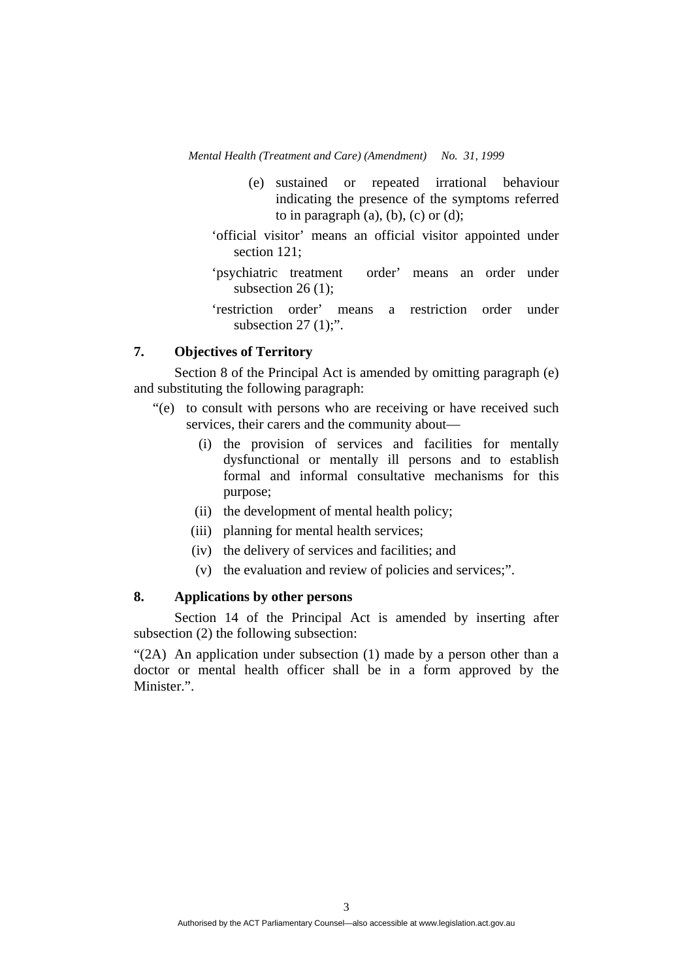- (e) sustained or repeated irrational behaviour indicating the presence of the symptoms referred to in paragraph  $(a)$ ,  $(b)$ ,  $(c)$  or  $(d)$ ;
- 'official visitor' means an official visitor appointed under section 121:
- 'psychiatric treatment order' means an order under subsection  $26(1)$ ;
- 'restriction order' means a restriction order under subsection  $27 (1)$ ;".

# **7. Objectives of Territory**

 Section 8 of the Principal Act is amended by omitting paragraph (e) and substituting the following paragraph:

- "(e) to consult with persons who are receiving or have received such services, their carers and the community about—
	- (i) the provision of services and facilities for mentally dysfunctional or mentally ill persons and to establish formal and informal consultative mechanisms for this purpose;
	- (ii) the development of mental health policy;
	- (iii) planning for mental health services;
	- (iv) the delivery of services and facilities; and
	- (v) the evaluation and review of policies and services;".

# **8. Applications by other persons**

 Section 14 of the Principal Act is amended by inserting after subsection (2) the following subsection:

"(2A) An application under subsection (1) made by a person other than a doctor or mental health officer shall be in a form approved by the Minister.".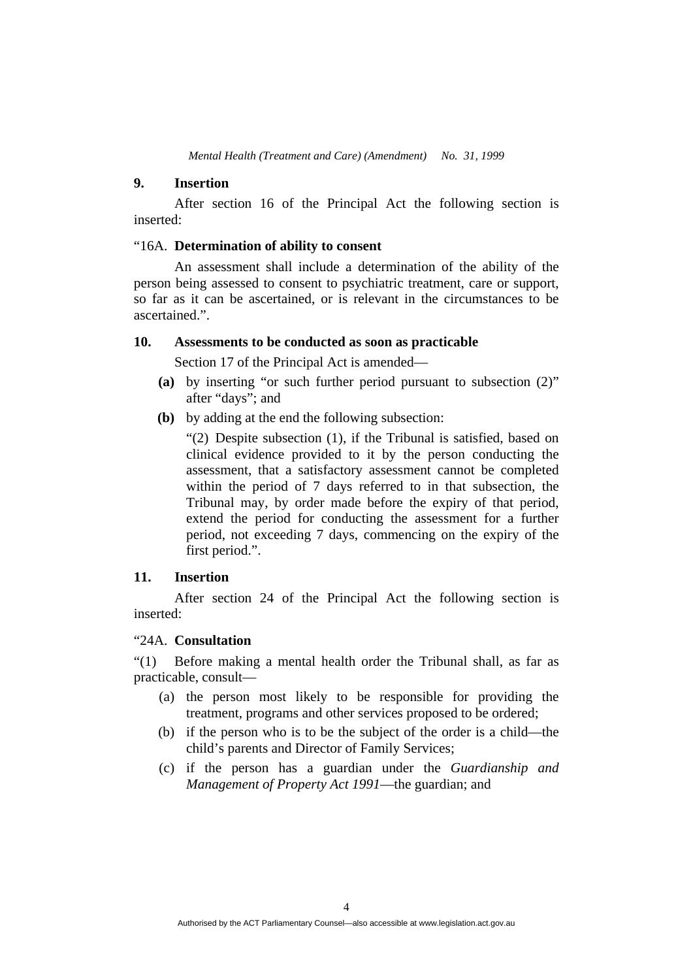### **9. Insertion**

 After section 16 of the Principal Act the following section is inserted:

### "16A. **Determination of ability to consent**

 An assessment shall include a determination of the ability of the person being assessed to consent to psychiatric treatment, care or support, so far as it can be ascertained, or is relevant in the circumstances to be ascertained."

# **10. Assessments to be conducted as soon as practicable**

Section 17 of the Principal Act is amended—

- **(a)** by inserting "or such further period pursuant to subsection (2)" after "days"; and
- **(b)** by adding at the end the following subsection:

"(2) Despite subsection (1), if the Tribunal is satisfied, based on clinical evidence provided to it by the person conducting the assessment, that a satisfactory assessment cannot be completed within the period of 7 days referred to in that subsection, the Tribunal may, by order made before the expiry of that period, extend the period for conducting the assessment for a further period, not exceeding 7 days, commencing on the expiry of the first period.".

#### **11. Insertion**

 After section 24 of the Principal Act the following section is inserted:

# "24A. **Consultation**

"(1) Before making a mental health order the Tribunal shall, as far as practicable, consult—

- (a) the person most likely to be responsible for providing the treatment, programs and other services proposed to be ordered;
- (b) if the person who is to be the subject of the order is a child—the child's parents and Director of Family Services;
- (c) if the person has a guardian under the *Guardianship and Management of Property Act 1991*—the guardian; and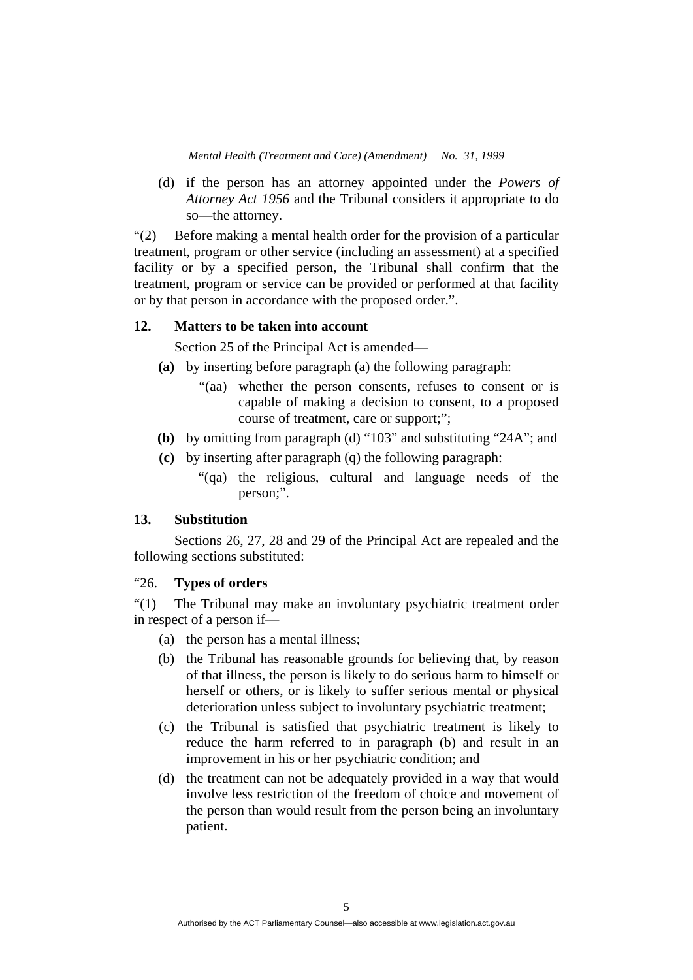(d) if the person has an attorney appointed under the *Powers of Attorney Act 1956* and the Tribunal considers it appropriate to do so—the attorney.

"(2) Before making a mental health order for the provision of a particular treatment, program or other service (including an assessment) at a specified facility or by a specified person, the Tribunal shall confirm that the treatment, program or service can be provided or performed at that facility or by that person in accordance with the proposed order.".

# **12. Matters to be taken into account**

Section 25 of the Principal Act is amended—

- **(a)** by inserting before paragraph (a) the following paragraph:
	- "(aa) whether the person consents, refuses to consent or is capable of making a decision to consent, to a proposed course of treatment, care or support;";
- **(b)** by omitting from paragraph (d) "103" and substituting "24A"; and
- **(c)** by inserting after paragraph (q) the following paragraph:
	- "(qa) the religious, cultural and language needs of the person;".

#### **13. Substitution**

 Sections 26, 27, 28 and 29 of the Principal Act are repealed and the following sections substituted:

# "26. **Types of orders**

"(1) The Tribunal may make an involuntary psychiatric treatment order in respect of a person if—

- (a) the person has a mental illness;
- (b) the Tribunal has reasonable grounds for believing that, by reason of that illness, the person is likely to do serious harm to himself or herself or others, or is likely to suffer serious mental or physical deterioration unless subject to involuntary psychiatric treatment;
- (c) the Tribunal is satisfied that psychiatric treatment is likely to reduce the harm referred to in paragraph (b) and result in an improvement in his or her psychiatric condition; and
- (d) the treatment can not be adequately provided in a way that would involve less restriction of the freedom of choice and movement of the person than would result from the person being an involuntary patient.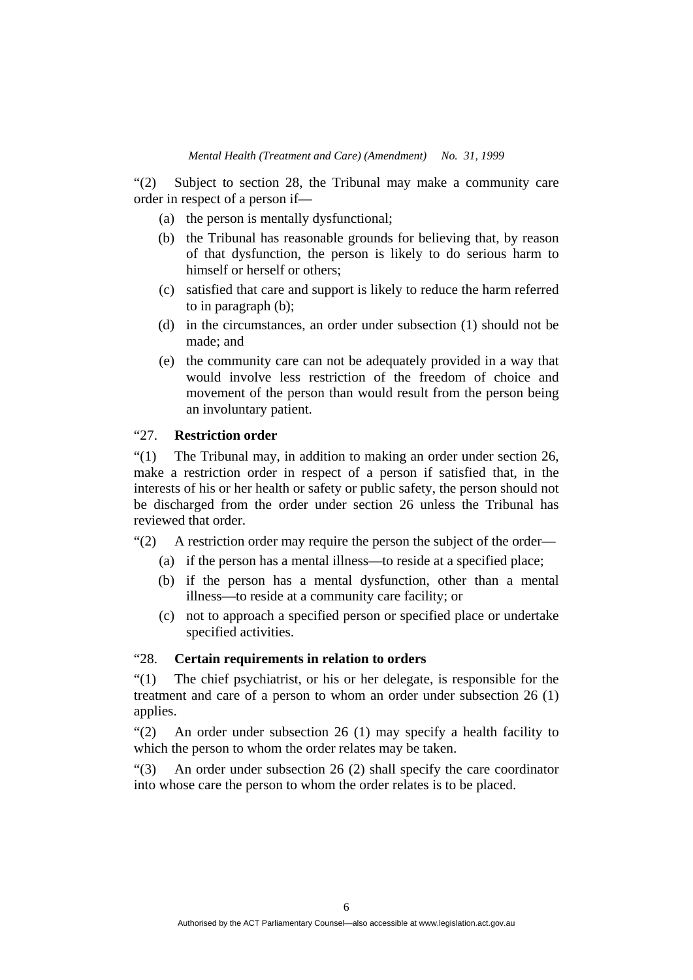"(2) Subject to section 28, the Tribunal may make a community care order in respect of a person if—

- (a) the person is mentally dysfunctional;
- (b) the Tribunal has reasonable grounds for believing that, by reason of that dysfunction, the person is likely to do serious harm to himself or herself or others;
- (c) satisfied that care and support is likely to reduce the harm referred to in paragraph (b);
- (d) in the circumstances, an order under subsection (1) should not be made; and
- (e) the community care can not be adequately provided in a way that would involve less restriction of the freedom of choice and movement of the person than would result from the person being an involuntary patient.

# "27. **Restriction order**

"(1) The Tribunal may, in addition to making an order under section 26, make a restriction order in respect of a person if satisfied that, in the interests of his or her health or safety or public safety, the person should not be discharged from the order under section 26 unless the Tribunal has reviewed that order.

"(2) A restriction order may require the person the subject of the order—

- (a) if the person has a mental illness—to reside at a specified place;
- (b) if the person has a mental dysfunction, other than a mental illness—to reside at a community care facility; or
- (c) not to approach a specified person or specified place or undertake specified activities.

# "28. **Certain requirements in relation to orders**

"(1) The chief psychiatrist, or his or her delegate, is responsible for the treatment and care of a person to whom an order under subsection 26 (1) applies.

"(2) An order under subsection 26 (1) may specify a health facility to which the person to whom the order relates may be taken.

"(3) An order under subsection 26 (2) shall specify the care coordinator into whose care the person to whom the order relates is to be placed.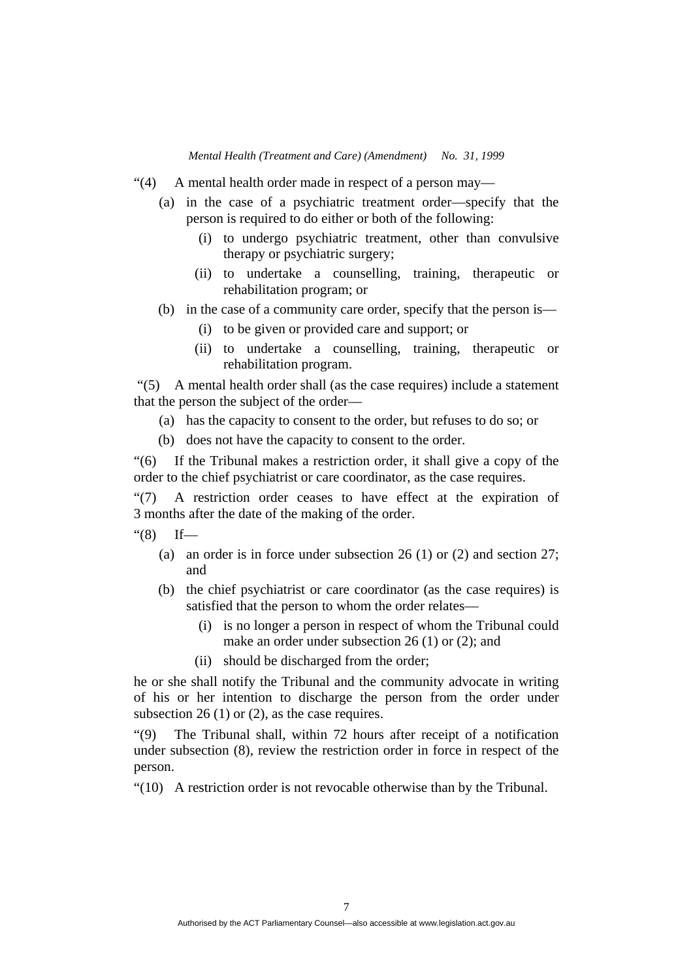- "(4) A mental health order made in respect of a person may—
	- (a) in the case of a psychiatric treatment order—specify that the person is required to do either or both of the following:
		- (i) to undergo psychiatric treatment, other than convulsive therapy or psychiatric surgery;
		- (ii) to undertake a counselling, training, therapeutic or rehabilitation program; or
	- (b) in the case of a community care order, specify that the person is—
		- (i) to be given or provided care and support; or
		- (ii) to undertake a counselling, training, therapeutic or rehabilitation program.

 "(5) A mental health order shall (as the case requires) include a statement that the person the subject of the order—

- (a) has the capacity to consent to the order, but refuses to do so; or
- (b) does not have the capacity to consent to the order.

"(6) If the Tribunal makes a restriction order, it shall give a copy of the order to the chief psychiatrist or care coordinator, as the case requires.

"(7) A restriction order ceases to have effect at the expiration of 3 months after the date of the making of the order.

- " $(8)$  If—
	- (a) an order is in force under subsection 26 (1) or (2) and section 27; and
	- (b) the chief psychiatrist or care coordinator (as the case requires) is satisfied that the person to whom the order relates—
		- (i) is no longer a person in respect of whom the Tribunal could make an order under subsection 26 (1) or (2); and
		- (ii) should be discharged from the order;

he or she shall notify the Tribunal and the community advocate in writing of his or her intention to discharge the person from the order under subsection 26 (1) or (2), as the case requires.

"(9) The Tribunal shall, within 72 hours after receipt of a notification under subsection (8), review the restriction order in force in respect of the person.

"(10) A restriction order is not revocable otherwise than by the Tribunal.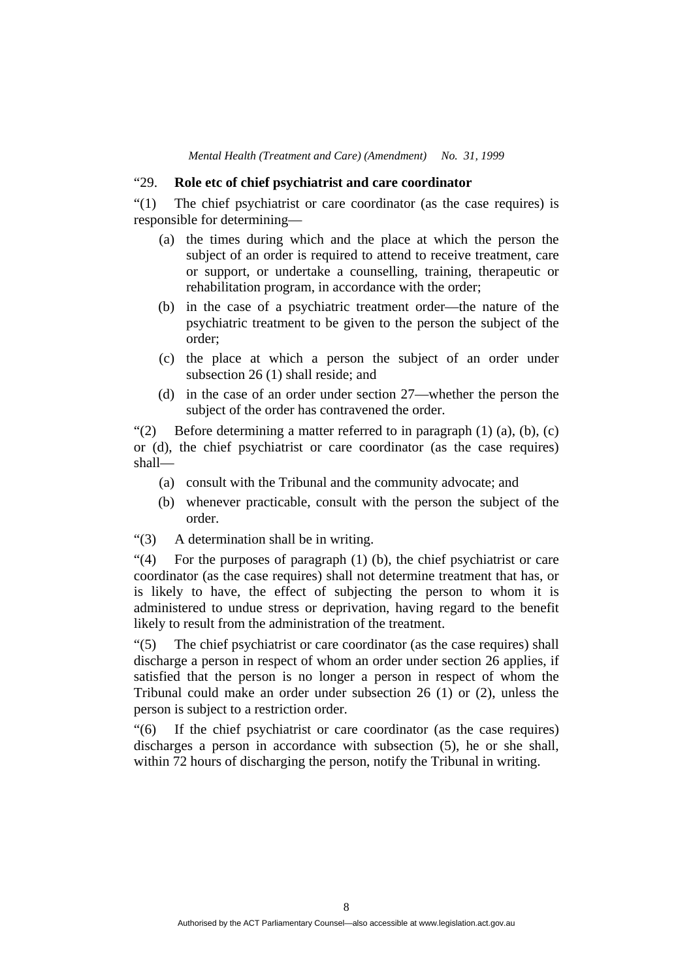### "29. **Role etc of chief psychiatrist and care coordinator**

"(1) The chief psychiatrist or care coordinator (as the case requires) is responsible for determining—

- (a) the times during which and the place at which the person the subject of an order is required to attend to receive treatment, care or support, or undertake a counselling, training, therapeutic or rehabilitation program, in accordance with the order;
- (b) in the case of a psychiatric treatment order—the nature of the psychiatric treatment to be given to the person the subject of the order;
- (c) the place at which a person the subject of an order under subsection 26 (1) shall reside; and
- (d) in the case of an order under section 27—whether the person the subject of the order has contravened the order.

"(2) Before determining a matter referred to in paragraph  $(1)$   $(a)$ ,  $(b)$ ,  $(c)$ or (d), the chief psychiatrist or care coordinator (as the case requires) shall—

- (a) consult with the Tribunal and the community advocate; and
- (b) whenever practicable, consult with the person the subject of the order.
- "(3) A determination shall be in writing.

"(4) For the purposes of paragraph (1) (b), the chief psychiatrist or care coordinator (as the case requires) shall not determine treatment that has, or is likely to have, the effect of subjecting the person to whom it is administered to undue stress or deprivation, having regard to the benefit likely to result from the administration of the treatment.

"(5) The chief psychiatrist or care coordinator (as the case requires) shall discharge a person in respect of whom an order under section 26 applies, if satisfied that the person is no longer a person in respect of whom the Tribunal could make an order under subsection 26 (1) or (2), unless the person is subject to a restriction order.

"(6) If the chief psychiatrist or care coordinator (as the case requires) discharges a person in accordance with subsection (5), he or she shall, within 72 hours of discharging the person, notify the Tribunal in writing.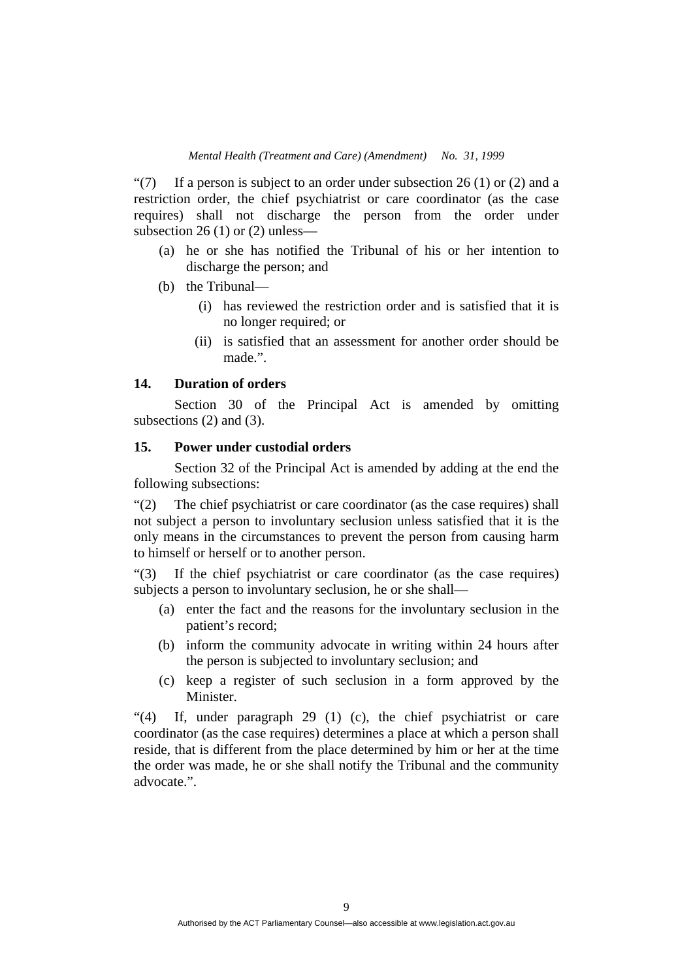"(7) If a person is subject to an order under subsection  $26(1)$  or (2) and a restriction order, the chief psychiatrist or care coordinator (as the case requires) shall not discharge the person from the order under subsection 26 (1) or (2) unless—

- (a) he or she has notified the Tribunal of his or her intention to discharge the person; and
- (b) the Tribunal—
	- (i) has reviewed the restriction order and is satisfied that it is no longer required; or
	- (ii) is satisfied that an assessment for another order should be made.".

# **14. Duration of orders**

 Section 30 of the Principal Act is amended by omitting subsections (2) and (3).

# **15. Power under custodial orders**

 Section 32 of the Principal Act is amended by adding at the end the following subsections:

"(2) The chief psychiatrist or care coordinator (as the case requires) shall not subject a person to involuntary seclusion unless satisfied that it is the only means in the circumstances to prevent the person from causing harm to himself or herself or to another person.

"(3) If the chief psychiatrist or care coordinator (as the case requires) subjects a person to involuntary seclusion, he or she shall—

- (a) enter the fact and the reasons for the involuntary seclusion in the patient's record;
- (b) inform the community advocate in writing within 24 hours after the person is subjected to involuntary seclusion; and
- (c) keep a register of such seclusion in a form approved by the **Minister**

"(4) If, under paragraph 29 (1) (c), the chief psychiatrist or care coordinator (as the case requires) determines a place at which a person shall reside, that is different from the place determined by him or her at the time the order was made, he or she shall notify the Tribunal and the community advocate.".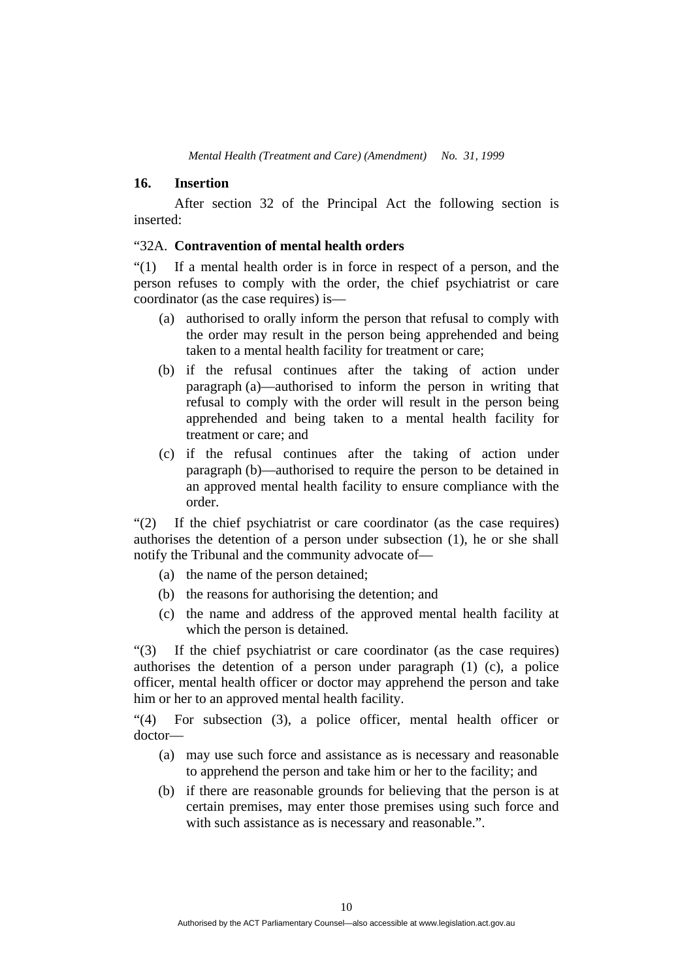#### **16. Insertion**

 After section 32 of the Principal Act the following section is inserted:

### "32A. **Contravention of mental health orders**

"(1) If a mental health order is in force in respect of a person, and the person refuses to comply with the order, the chief psychiatrist or care coordinator (as the case requires) is—

- (a) authorised to orally inform the person that refusal to comply with the order may result in the person being apprehended and being taken to a mental health facility for treatment or care;
- (b) if the refusal continues after the taking of action under paragraph (a)—authorised to inform the person in writing that refusal to comply with the order will result in the person being apprehended and being taken to a mental health facility for treatment or care; and
- (c) if the refusal continues after the taking of action under paragraph (b)—authorised to require the person to be detained in an approved mental health facility to ensure compliance with the order.

"(2) If the chief psychiatrist or care coordinator (as the case requires) authorises the detention of a person under subsection (1), he or she shall notify the Tribunal and the community advocate of—

- (a) the name of the person detained;
- (b) the reasons for authorising the detention; and
- (c) the name and address of the approved mental health facility at which the person is detained.

"(3) If the chief psychiatrist or care coordinator (as the case requires) authorises the detention of a person under paragraph (1) (c), a police officer, mental health officer or doctor may apprehend the person and take him or her to an approved mental health facility.

"(4) For subsection (3), a police officer, mental health officer or doctor—

- (a) may use such force and assistance as is necessary and reasonable to apprehend the person and take him or her to the facility; and
- (b) if there are reasonable grounds for believing that the person is at certain premises, may enter those premises using such force and with such assistance as is necessary and reasonable.".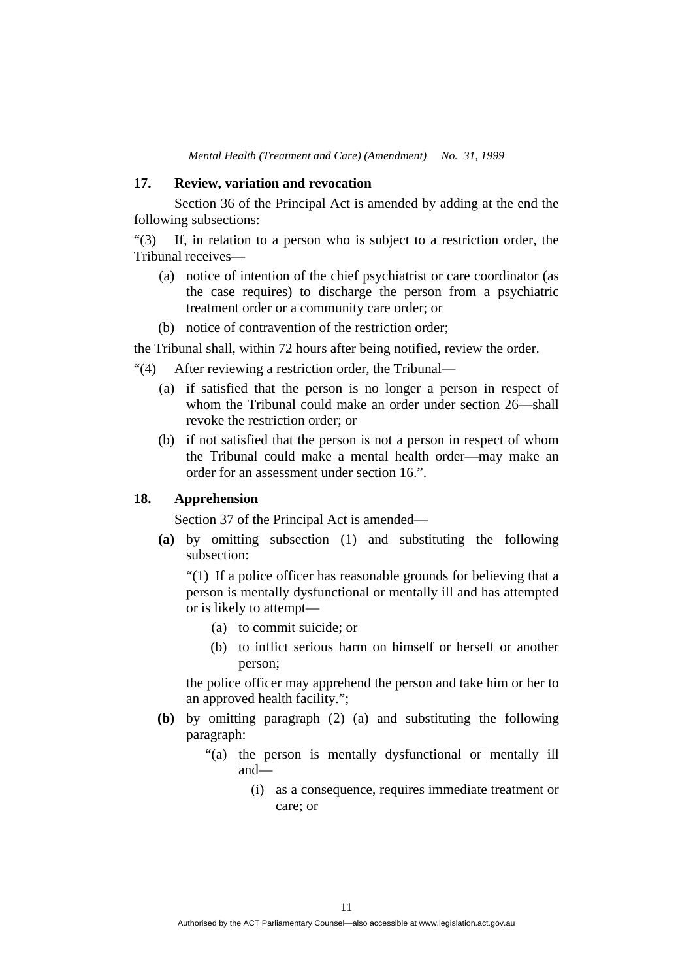# **17. Review, variation and revocation**

 Section 36 of the Principal Act is amended by adding at the end the following subsections:

"(3) If, in relation to a person who is subject to a restriction order, the Tribunal receives—

- (a) notice of intention of the chief psychiatrist or care coordinator (as the case requires) to discharge the person from a psychiatric treatment order or a community care order; or
- (b) notice of contravention of the restriction order;

the Tribunal shall, within 72 hours after being notified, review the order.

- "(4) After reviewing a restriction order, the Tribunal—
	- (a) if satisfied that the person is no longer a person in respect of whom the Tribunal could make an order under section 26—shall revoke the restriction order; or
	- (b) if not satisfied that the person is not a person in respect of whom the Tribunal could make a mental health order—may make an order for an assessment under section 16.".

# **18. Apprehension**

Section 37 of the Principal Act is amended—

 **(a)** by omitting subsection (1) and substituting the following subsection:

"(1) If a police officer has reasonable grounds for believing that a person is mentally dysfunctional or mentally ill and has attempted or is likely to attempt—

- (a) to commit suicide; or
- (b) to inflict serious harm on himself or herself or another person;

the police officer may apprehend the person and take him or her to an approved health facility.";

- **(b)** by omitting paragraph (2) (a) and substituting the following paragraph:
	- "(a) the person is mentally dysfunctional or mentally ill and—
		- (i) as a consequence, requires immediate treatment or care; or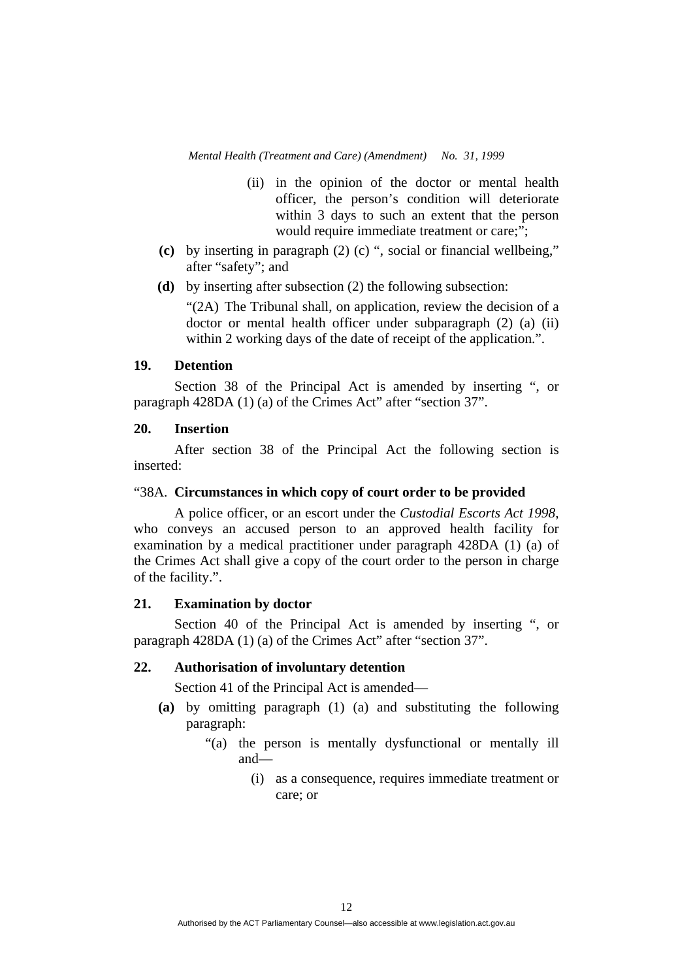- (ii) in the opinion of the doctor or mental health officer, the person's condition will deteriorate within 3 days to such an extent that the person would require immediate treatment or care;";
- **(c)** by inserting in paragraph (2) (c) ", social or financial wellbeing," after "safety"; and
- **(d)** by inserting after subsection (2) the following subsection:

"(2A) The Tribunal shall, on application, review the decision of a doctor or mental health officer under subparagraph (2) (a) (ii) within 2 working days of the date of receipt of the application.".

# **19. Detention**

 Section 38 of the Principal Act is amended by inserting ", or paragraph 428DA (1) (a) of the Crimes Act" after "section 37".

# **20. Insertion**

 After section 38 of the Principal Act the following section is inserted:

# "38A. **Circumstances in which copy of court order to be provided**

 A police officer, or an escort under the *Custodial Escorts Act 1998*, who conveys an accused person to an approved health facility for examination by a medical practitioner under paragraph 428DA (1) (a) of the Crimes Act shall give a copy of the court order to the person in charge of the facility.".

#### **21. Examination by doctor**

 Section 40 of the Principal Act is amended by inserting ", or paragraph 428DA (1) (a) of the Crimes Act" after "section 37".

# **22. Authorisation of involuntary detention**

Section 41 of the Principal Act is amended—

- **(a)** by omitting paragraph (1) (a) and substituting the following paragraph:
	- "(a) the person is mentally dysfunctional or mentally ill and—
		- (i) as a consequence, requires immediate treatment or care; or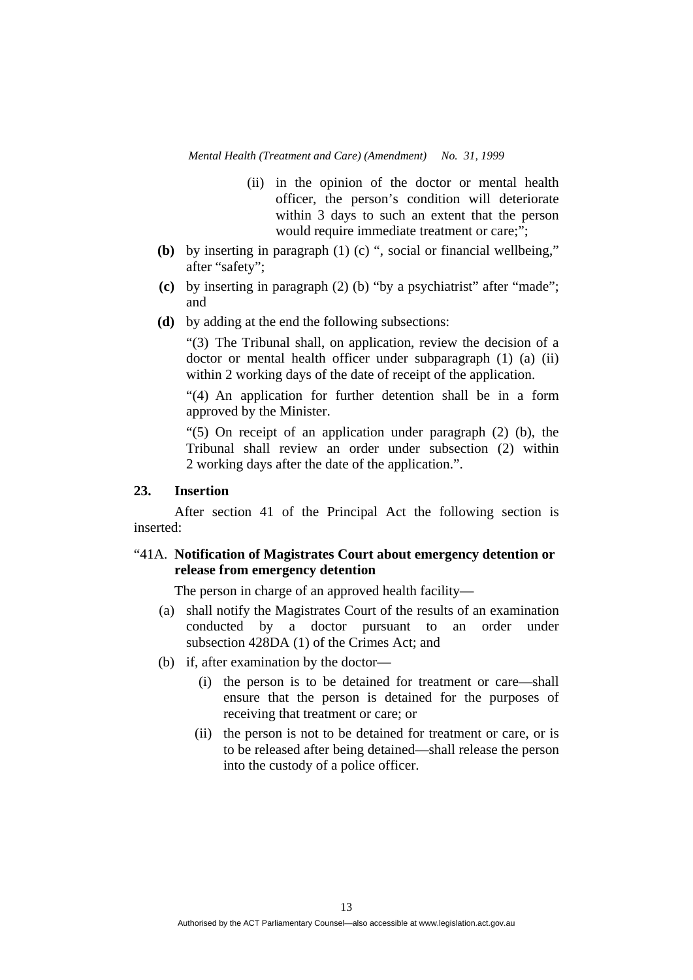- (ii) in the opinion of the doctor or mental health officer, the person's condition will deteriorate within 3 days to such an extent that the person would require immediate treatment or care;";
- **(b)** by inserting in paragraph (1) (c) ", social or financial wellbeing," after "safety";
- **(c)** by inserting in paragraph (2) (b) "by a psychiatrist" after "made"; and
- **(d)** by adding at the end the following subsections:

"(3) The Tribunal shall, on application, review the decision of a doctor or mental health officer under subparagraph (1) (a) (ii) within 2 working days of the date of receipt of the application.

"(4) An application for further detention shall be in a form approved by the Minister.

"(5) On receipt of an application under paragraph  $(2)$  (b), the Tribunal shall review an order under subsection (2) within 2 working days after the date of the application.".

# **23. Insertion**

 After section 41 of the Principal Act the following section is inserted:

# "41A. **Notification of Magistrates Court about emergency detention or release from emergency detention**

The person in charge of an approved health facility—

- (a) shall notify the Magistrates Court of the results of an examination conducted by a doctor pursuant to an order under subsection 428DA (1) of the Crimes Act; and
- (b) if, after examination by the doctor—
	- (i) the person is to be detained for treatment or care—shall ensure that the person is detained for the purposes of receiving that treatment or care; or
	- (ii) the person is not to be detained for treatment or care, or is to be released after being detained—shall release the person into the custody of a police officer.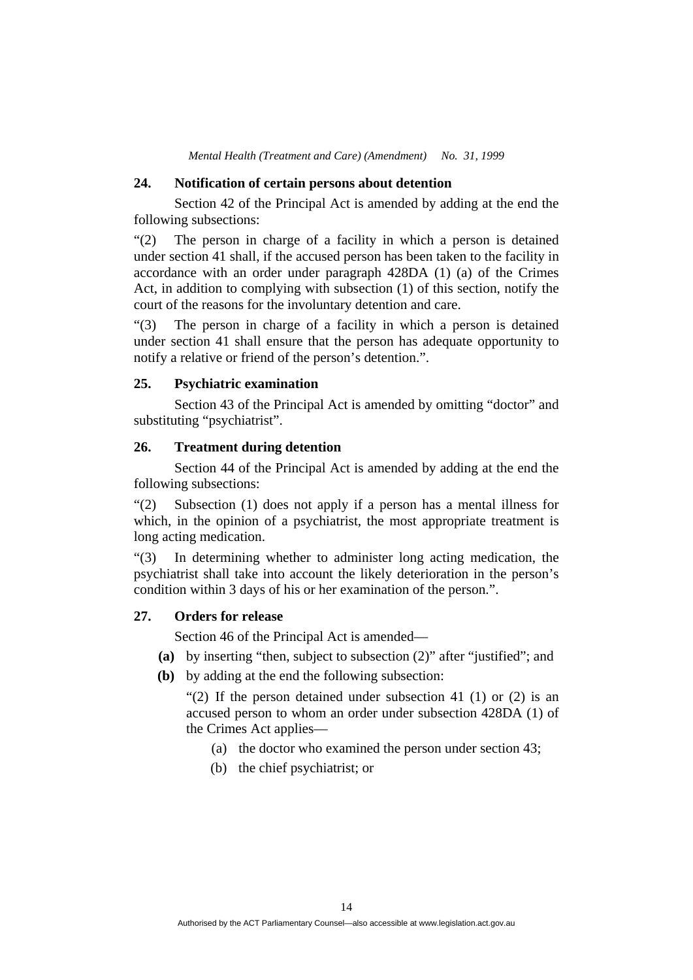#### **24. Notification of certain persons about detention**

 Section 42 of the Principal Act is amended by adding at the end the following subsections:

"(2) The person in charge of a facility in which a person is detained under section 41 shall, if the accused person has been taken to the facility in accordance with an order under paragraph 428DA (1) (a) of the Crimes Act, in addition to complying with subsection (1) of this section, notify the court of the reasons for the involuntary detention and care.

"(3) The person in charge of a facility in which a person is detained under section 41 shall ensure that the person has adequate opportunity to notify a relative or friend of the person's detention.".

# **25. Psychiatric examination**

 Section 43 of the Principal Act is amended by omitting "doctor" and substituting "psychiatrist".

#### **26. Treatment during detention**

 Section 44 of the Principal Act is amended by adding at the end the following subsections:

"(2) Subsection (1) does not apply if a person has a mental illness for which, in the opinion of a psychiatrist, the most appropriate treatment is long acting medication.

"(3) In determining whether to administer long acting medication, the psychiatrist shall take into account the likely deterioration in the person's condition within 3 days of his or her examination of the person.".

### **27. Orders for release**

Section 46 of the Principal Act is amended—

- **(a)** by inserting "then, subject to subsection (2)" after "justified"; and
- **(b)** by adding at the end the following subsection:

"(2) If the person detained under subsection 41 (1) or (2) is an accused person to whom an order under subsection 428DA (1) of the Crimes Act applies—

- (a) the doctor who examined the person under section 43;
- (b) the chief psychiatrist; or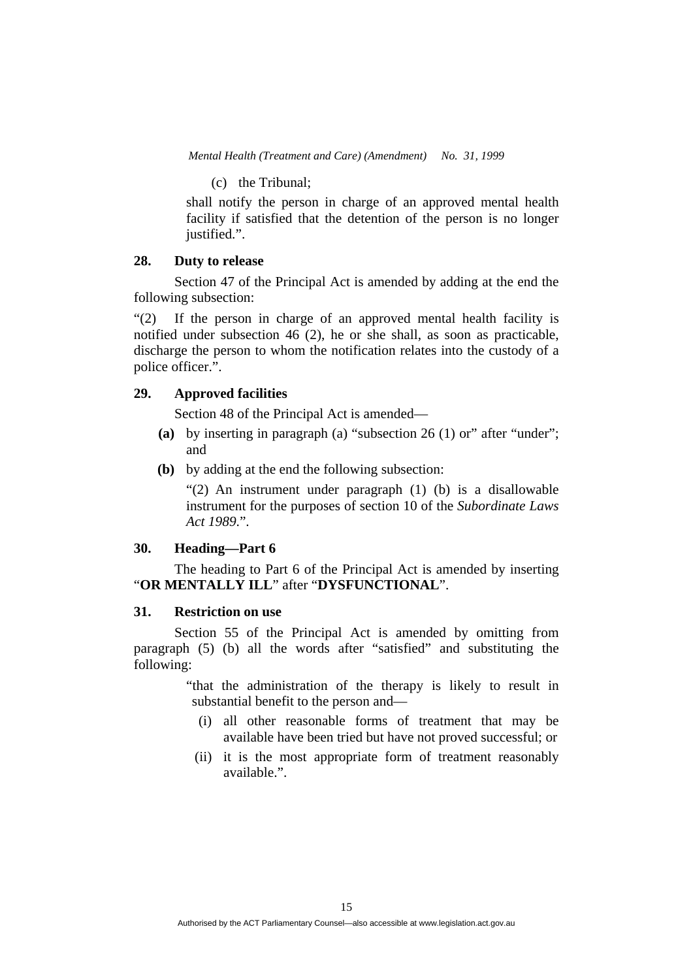(c) the Tribunal;

shall notify the person in charge of an approved mental health facility if satisfied that the detention of the person is no longer justified.".

# **28. Duty to release**

 Section 47 of the Principal Act is amended by adding at the end the following subsection:

"(2) If the person in charge of an approved mental health facility is notified under subsection 46 (2), he or she shall, as soon as practicable, discharge the person to whom the notification relates into the custody of a police officer.".

# **29. Approved facilities**

Section 48 of the Principal Act is amended—

- **(a)** by inserting in paragraph (a) "subsection 26 (1) or" after "under"; and
- **(b)** by adding at the end the following subsection:

"(2) An instrument under paragraph (1) (b) is a disallowable instrument for the purposes of section 10 of the *Subordinate Laws Act 1989*.".

### **30. Heading—Part 6**

 The heading to Part 6 of the Principal Act is amended by inserting "**OR MENTALLY ILL**" after "**DYSFUNCTIONAL**".

# **31. Restriction on use**

 Section 55 of the Principal Act is amended by omitting from paragraph (5) (b) all the words after "satisfied" and substituting the following:

> "that the administration of the therapy is likely to result in substantial benefit to the person and—

- (i) all other reasonable forms of treatment that may be available have been tried but have not proved successful; or
- (ii) it is the most appropriate form of treatment reasonably available.".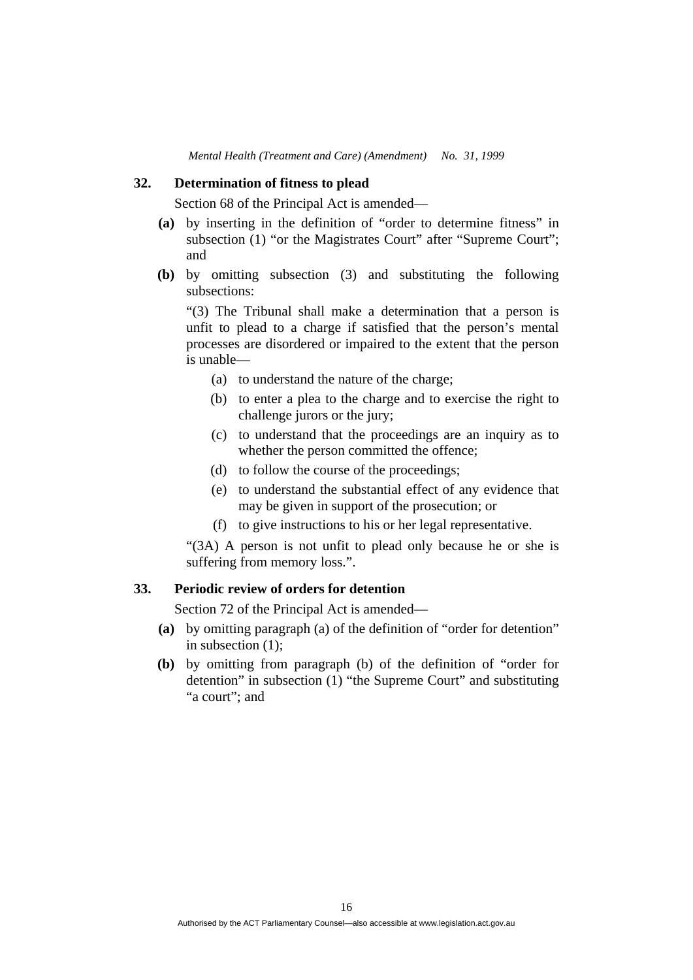### **32. Determination of fitness to plead**

Section 68 of the Principal Act is amended—

- **(a)** by inserting in the definition of "order to determine fitness" in subsection (1) "or the Magistrates Court" after "Supreme Court"; and
- **(b)** by omitting subsection (3) and substituting the following subsections:

"(3) The Tribunal shall make a determination that a person is unfit to plead to a charge if satisfied that the person's mental processes are disordered or impaired to the extent that the person is unable—

- (a) to understand the nature of the charge;
- (b) to enter a plea to the charge and to exercise the right to challenge jurors or the jury;
- (c) to understand that the proceedings are an inquiry as to whether the person committed the offence;
- (d) to follow the course of the proceedings;
- (e) to understand the substantial effect of any evidence that may be given in support of the prosecution; or
- (f) to give instructions to his or her legal representative.

"(3A) A person is not unfit to plead only because he or she is suffering from memory loss.".

### **33. Periodic review of orders for detention**

Section 72 of the Principal Act is amended—

- **(a)** by omitting paragraph (a) of the definition of "order for detention" in subsection (1);
- **(b)** by omitting from paragraph (b) of the definition of "order for detention" in subsection (1) "the Supreme Court" and substituting "a court"; and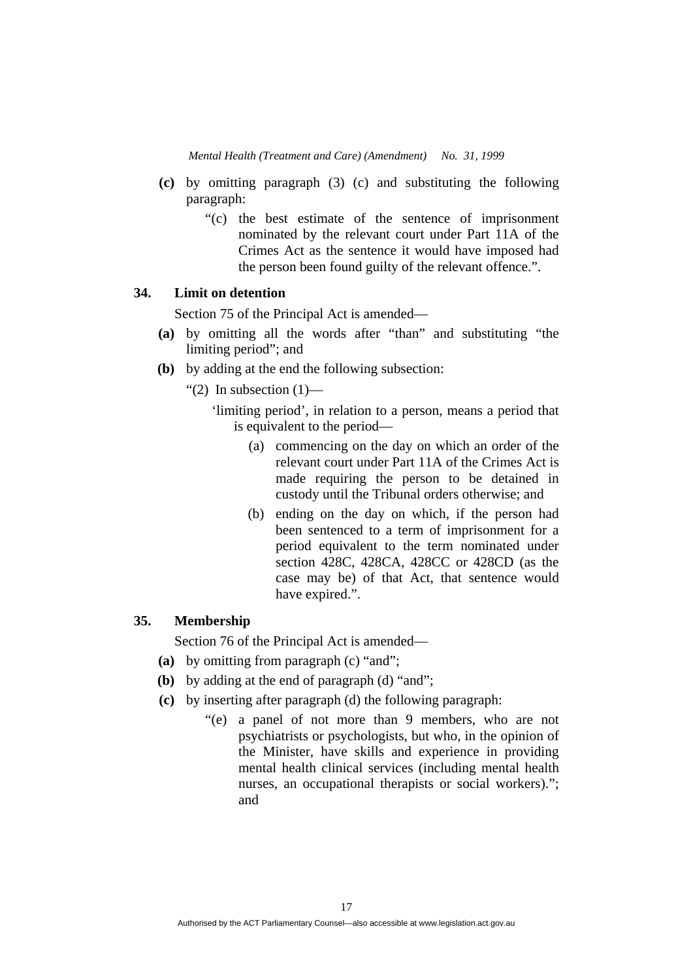- **(c)** by omitting paragraph (3) (c) and substituting the following paragraph:
	- "(c) the best estimate of the sentence of imprisonment nominated by the relevant court under Part 11A of the Crimes Act as the sentence it would have imposed had the person been found guilty of the relevant offence.".

# **34. Limit on detention**

Section 75 of the Principal Act is amended—

- **(a)** by omitting all the words after "than" and substituting "the limiting period"; and
- **(b)** by adding at the end the following subsection:
	- "(2) In subsection  $(1)$ 
		- 'limiting period', in relation to a person, means a period that is equivalent to the period—
			- (a) commencing on the day on which an order of the relevant court under Part 11A of the Crimes Act is made requiring the person to be detained in custody until the Tribunal orders otherwise; and
			- (b) ending on the day on which, if the person had been sentenced to a term of imprisonment for a period equivalent to the term nominated under section 428C, 428CA, 428CC or 428CD (as the case may be) of that Act, that sentence would have expired.".

# **35. Membership**

Section 76 of the Principal Act is amended—

- **(a)** by omitting from paragraph (c) "and";
- **(b)** by adding at the end of paragraph (d) "and";
- **(c)** by inserting after paragraph (d) the following paragraph:
	- "(e) a panel of not more than 9 members, who are not psychiatrists or psychologists, but who, in the opinion of the Minister, have skills and experience in providing mental health clinical services (including mental health nurses, an occupational therapists or social workers)."; and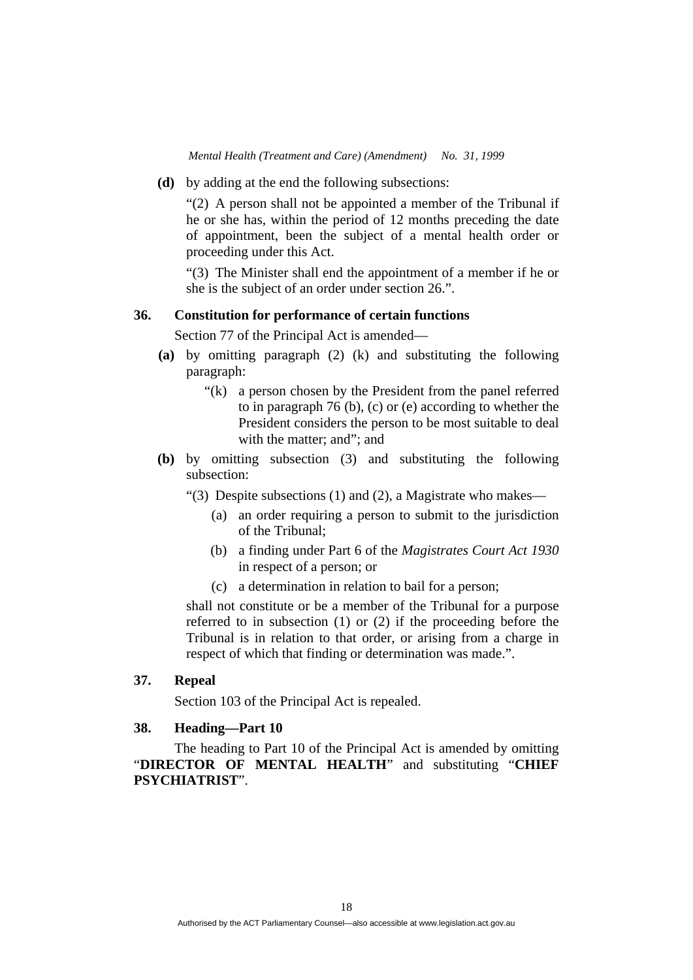**(d)** by adding at the end the following subsections:

"(2) A person shall not be appointed a member of the Tribunal if he or she has, within the period of 12 months preceding the date of appointment, been the subject of a mental health order or proceeding under this Act.

"(3) The Minister shall end the appointment of a member if he or she is the subject of an order under section 26.".

# **36. Constitution for performance of certain functions**

Section 77 of the Principal Act is amended—

- **(a)** by omitting paragraph (2) (k) and substituting the following paragraph:
	- "(k) a person chosen by the President from the panel referred to in paragraph 76 (b), (c) or (e) according to whether the President considers the person to be most suitable to deal with the matter; and"; and
- **(b)** by omitting subsection (3) and substituting the following subsection:
	- "(3) Despite subsections (1) and (2), a Magistrate who makes—
		- (a) an order requiring a person to submit to the jurisdiction of the Tribunal;
		- (b) a finding under Part 6 of the *Magistrates Court Act 1930* in respect of a person; or
		- (c) a determination in relation to bail for a person;

shall not constitute or be a member of the Tribunal for a purpose referred to in subsection (1) or (2) if the proceeding before the Tribunal is in relation to that order, or arising from a charge in respect of which that finding or determination was made.".

# **37. Repeal**

Section 103 of the Principal Act is repealed.

# **38. Heading—Part 10**

 The heading to Part 10 of the Principal Act is amended by omitting "**DIRECTOR OF MENTAL HEALTH**" and substituting "**CHIEF PSYCHIATRIST**".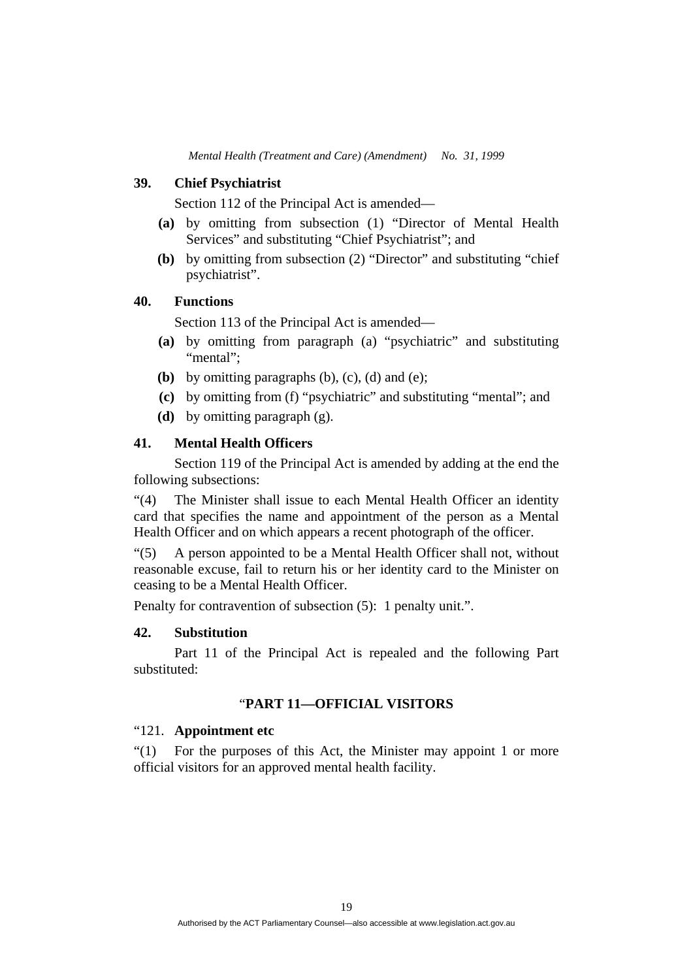# **39. Chief Psychiatrist**

Section 112 of the Principal Act is amended—

- **(a)** by omitting from subsection (1) "Director of Mental Health Services" and substituting "Chief Psychiatrist"; and
- **(b)** by omitting from subsection (2) "Director" and substituting "chief psychiatrist".

# **40. Functions**

Section 113 of the Principal Act is amended—

- **(a)** by omitting from paragraph (a) "psychiatric" and substituting "mental":
- **(b)** by omitting paragraphs  $(b)$ ,  $(c)$ ,  $(d)$  and  $(e)$ ;
- **(c)** by omitting from (f) "psychiatric" and substituting "mental"; and
- **(d)** by omitting paragraph (g).

# **41. Mental Health Officers**

 Section 119 of the Principal Act is amended by adding at the end the following subsections:

"(4) The Minister shall issue to each Mental Health Officer an identity card that specifies the name and appointment of the person as a Mental Health Officer and on which appears a recent photograph of the officer.

"(5) A person appointed to be a Mental Health Officer shall not, without reasonable excuse, fail to return his or her identity card to the Minister on ceasing to be a Mental Health Officer.

Penalty for contravention of subsection  $(5)$ : 1 penalty unit.".

# **42. Substitution**

 Part 11 of the Principal Act is repealed and the following Part substituted:

#### "**PART 11—OFFICIAL VISITORS**

# "121. **Appointment etc**

"(1) For the purposes of this Act, the Minister may appoint 1 or more official visitors for an approved mental health facility.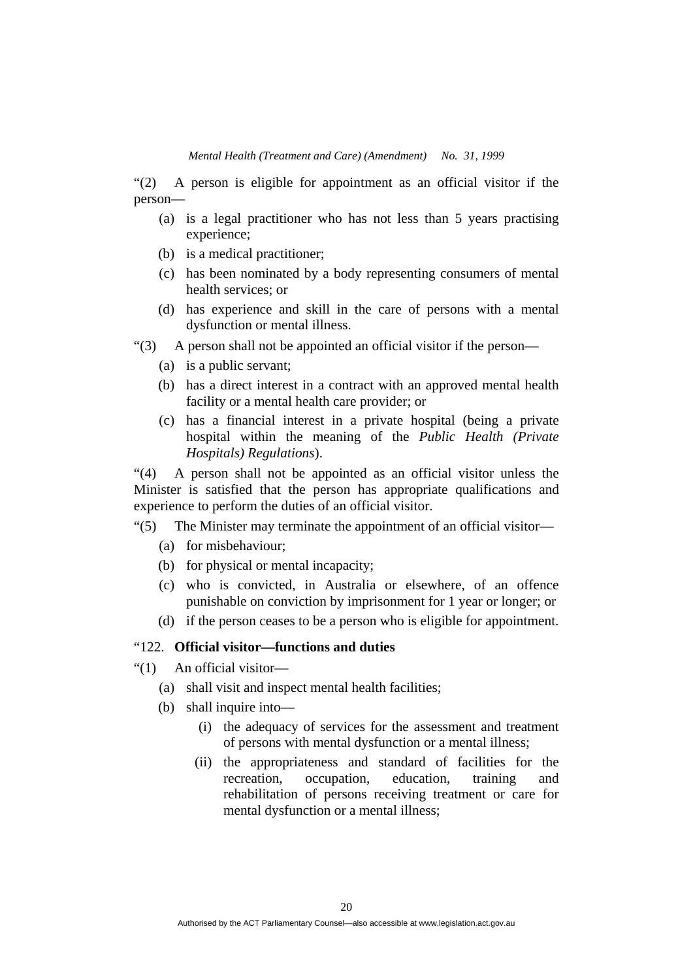"(2) A person is eligible for appointment as an official visitor if the person—

- (a) is a legal practitioner who has not less than 5 years practising experience;
- (b) is a medical practitioner;
- (c) has been nominated by a body representing consumers of mental health services; or
- (d) has experience and skill in the care of persons with a mental dysfunction or mental illness.
- "(3) A person shall not be appointed an official visitor if the person—
	- (a) is a public servant;
	- (b) has a direct interest in a contract with an approved mental health facility or a mental health care provider; or
	- (c) has a financial interest in a private hospital (being a private hospital within the meaning of the *Public Health (Private Hospitals) Regulations*).

"(4) A person shall not be appointed as an official visitor unless the Minister is satisfied that the person has appropriate qualifications and experience to perform the duties of an official visitor.

# "(5) The Minister may terminate the appointment of an official visitor—

- (a) for misbehaviour;
- (b) for physical or mental incapacity;
- (c) who is convicted, in Australia or elsewhere, of an offence punishable on conviction by imprisonment for 1 year or longer; or
- (d) if the person ceases to be a person who is eligible for appointment.

### "122. **Official visitor—functions and duties**

- "(1) An official visitor—
	- (a) shall visit and inspect mental health facilities;
	- (b) shall inquire into—
		- (i) the adequacy of services for the assessment and treatment of persons with mental dysfunction or a mental illness;
		- (ii) the appropriateness and standard of facilities for the recreation, occupation, education, training and rehabilitation of persons receiving treatment or care for mental dysfunction or a mental illness;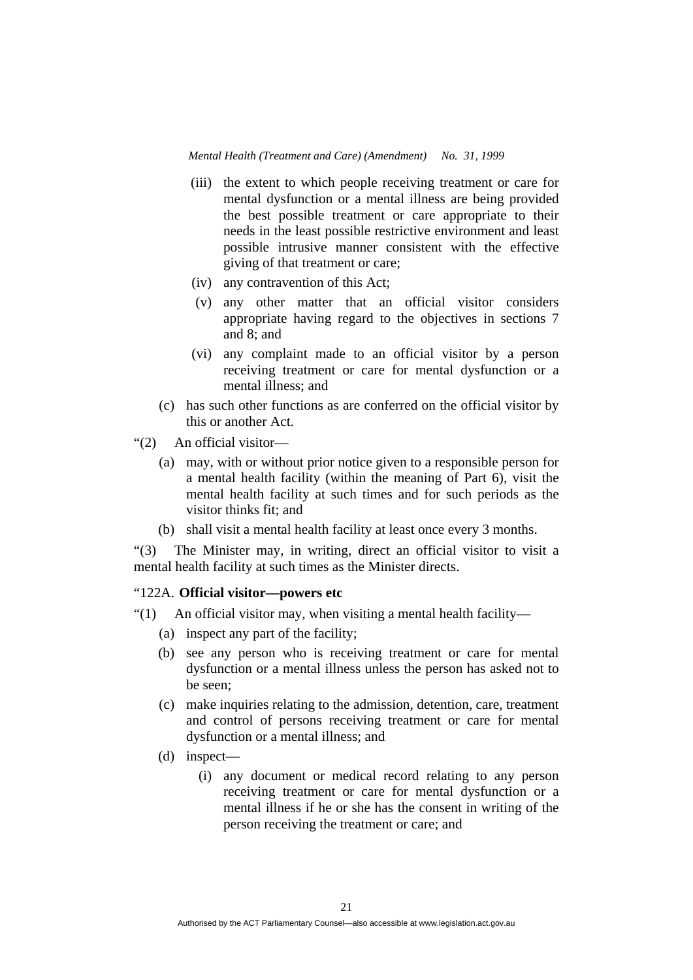- (iii) the extent to which people receiving treatment or care for mental dysfunction or a mental illness are being provided the best possible treatment or care appropriate to their needs in the least possible restrictive environment and least possible intrusive manner consistent with the effective giving of that treatment or care;
- (iv) any contravention of this Act;
- (v) any other matter that an official visitor considers appropriate having regard to the objectives in sections 7 and 8; and
- (vi) any complaint made to an official visitor by a person receiving treatment or care for mental dysfunction or a mental illness; and
- (c) has such other functions as are conferred on the official visitor by this or another Act.
- "(2) An official visitor—
	- (a) may, with or without prior notice given to a responsible person for a mental health facility (within the meaning of Part 6), visit the mental health facility at such times and for such periods as the visitor thinks fit; and
	- (b) shall visit a mental health facility at least once every 3 months.

"(3) The Minister may, in writing, direct an official visitor to visit a mental health facility at such times as the Minister directs.

# "122A. **Official visitor—powers etc**

" $(1)$  An official visitor may, when visiting a mental health facility—

- (a) inspect any part of the facility;
- (b) see any person who is receiving treatment or care for mental dysfunction or a mental illness unless the person has asked not to be seen;
- (c) make inquiries relating to the admission, detention, care, treatment and control of persons receiving treatment or care for mental dysfunction or a mental illness; and
- (d) inspect—
	- (i) any document or medical record relating to any person receiving treatment or care for mental dysfunction or a mental illness if he or she has the consent in writing of the person receiving the treatment or care; and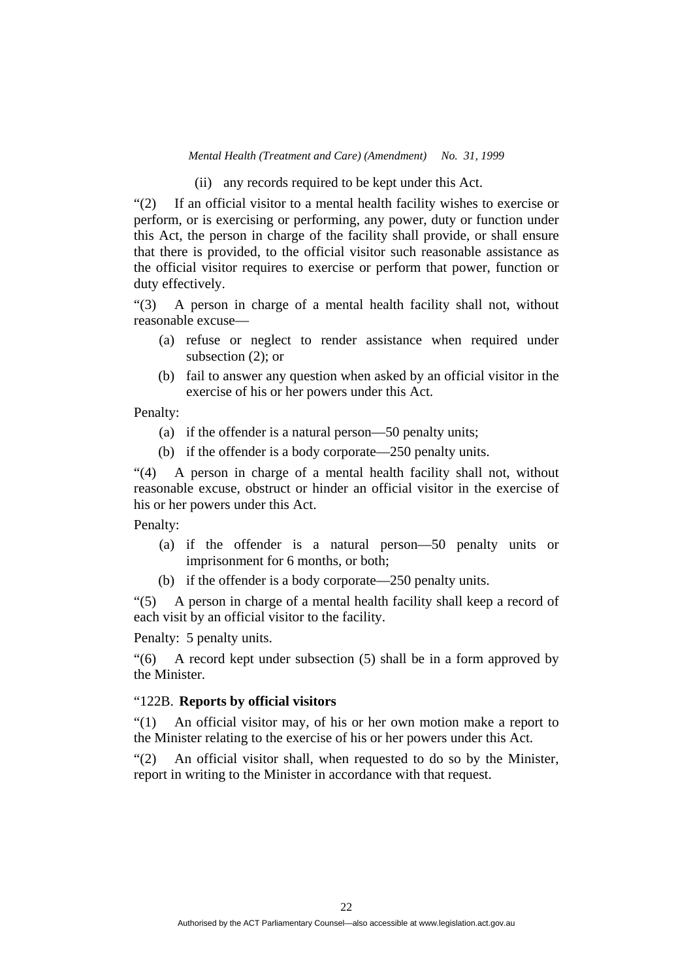(ii) any records required to be kept under this Act.

"(2) If an official visitor to a mental health facility wishes to exercise or perform, or is exercising or performing, any power, duty or function under this Act, the person in charge of the facility shall provide, or shall ensure that there is provided, to the official visitor such reasonable assistance as the official visitor requires to exercise or perform that power, function or duty effectively.

"(3) A person in charge of a mental health facility shall not, without reasonable excuse—

- (a) refuse or neglect to render assistance when required under subsection (2); or
- (b) fail to answer any question when asked by an official visitor in the exercise of his or her powers under this Act.

Penalty:

- (a) if the offender is a natural person—50 penalty units;
- (b) if the offender is a body corporate—250 penalty units.

"(4) A person in charge of a mental health facility shall not, without reasonable excuse, obstruct or hinder an official visitor in the exercise of his or her powers under this Act.

#### Penalty:

- (a) if the offender is a natural person—50 penalty units or imprisonment for 6 months, or both;
- (b) if the offender is a body corporate—250 penalty units.

"(5) A person in charge of a mental health facility shall keep a record of each visit by an official visitor to the facility.

Penalty: 5 penalty units.

"(6) A record kept under subsection (5) shall be in a form approved by the Minister.

# "122B. **Reports by official visitors**

"(1) An official visitor may, of his or her own motion make a report to the Minister relating to the exercise of his or her powers under this Act.

"(2) An official visitor shall, when requested to do so by the Minister, report in writing to the Minister in accordance with that request.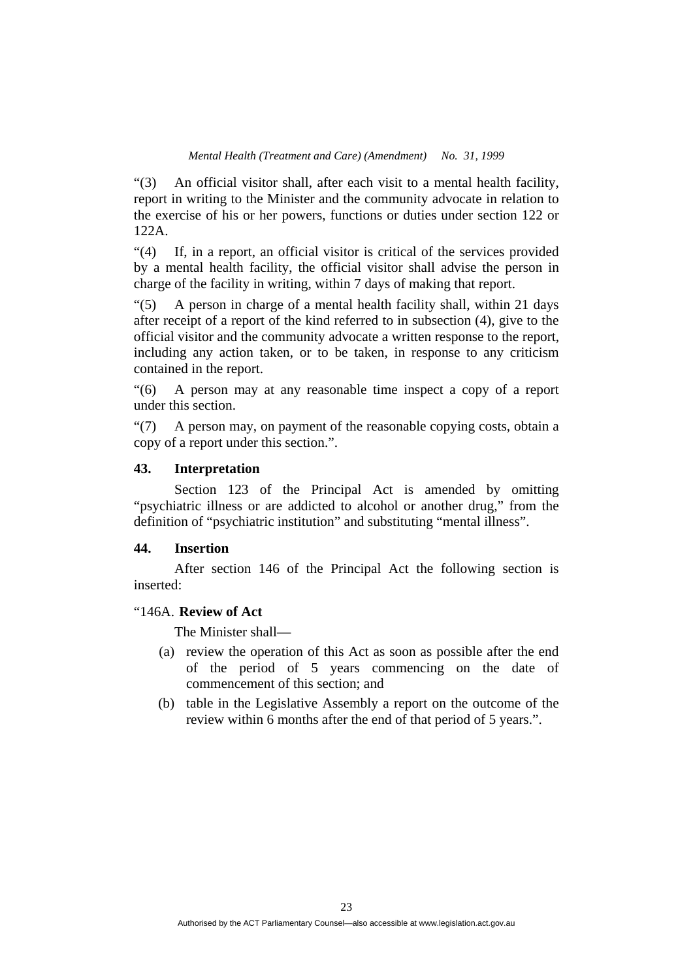"(3) An official visitor shall, after each visit to a mental health facility, report in writing to the Minister and the community advocate in relation to the exercise of his or her powers, functions or duties under section 122 or 122A.

"(4) If, in a report, an official visitor is critical of the services provided by a mental health facility, the official visitor shall advise the person in charge of the facility in writing, within 7 days of making that report.

"(5) A person in charge of a mental health facility shall, within 21 days after receipt of a report of the kind referred to in subsection (4), give to the official visitor and the community advocate a written response to the report, including any action taken, or to be taken, in response to any criticism contained in the report.

"(6) A person may at any reasonable time inspect a copy of a report under this section.

"(7) A person may, on payment of the reasonable copying costs, obtain a copy of a report under this section.".

# **43. Interpretation**

 Section 123 of the Principal Act is amended by omitting "psychiatric illness or are addicted to alcohol or another drug," from the definition of "psychiatric institution" and substituting "mental illness".

# **44. Insertion**

 After section 146 of the Principal Act the following section is inserted:

# "146A. **Review of Act**

The Minister shall—

- (a) review the operation of this Act as soon as possible after the end of the period of 5 years commencing on the date of commencement of this section; and
- (b) table in the Legislative Assembly a report on the outcome of the review within 6 months after the end of that period of 5 years.".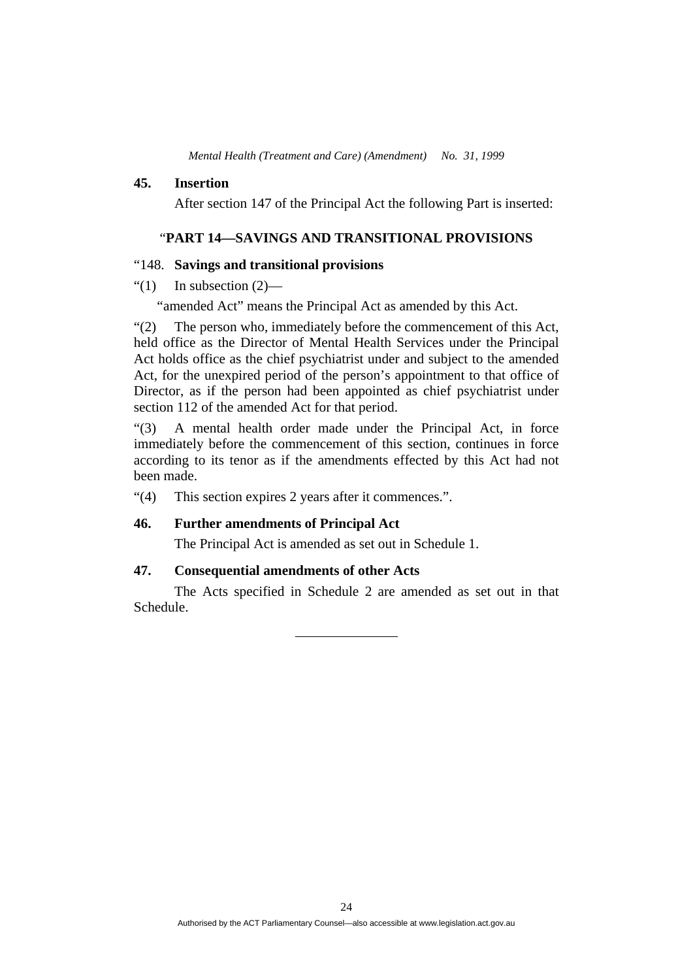#### **45. Insertion**

After section 147 of the Principal Act the following Part is inserted:

# "**PART 14—SAVINGS AND TRANSITIONAL PROVISIONS**

### "148. **Savings and transitional provisions**

### " $(1)$  In subsection  $(2)$ —

"amended Act" means the Principal Act as amended by this Act.

"(2) The person who, immediately before the commencement of this Act, held office as the Director of Mental Health Services under the Principal Act holds office as the chief psychiatrist under and subject to the amended Act, for the unexpired period of the person's appointment to that office of Director, as if the person had been appointed as chief psychiatrist under section 112 of the amended Act for that period.

"(3) A mental health order made under the Principal Act, in force immediately before the commencement of this section, continues in force according to its tenor as if the amendments effected by this Act had not been made.

"(4) This section expires 2 years after it commences.".

# **46. Further amendments of Principal Act**

The Principal Act is amended as set out in Schedule 1.

# **47. Consequential amendments of other Acts**

 The Acts specified in Schedule 2 are amended as set out in that Schedule.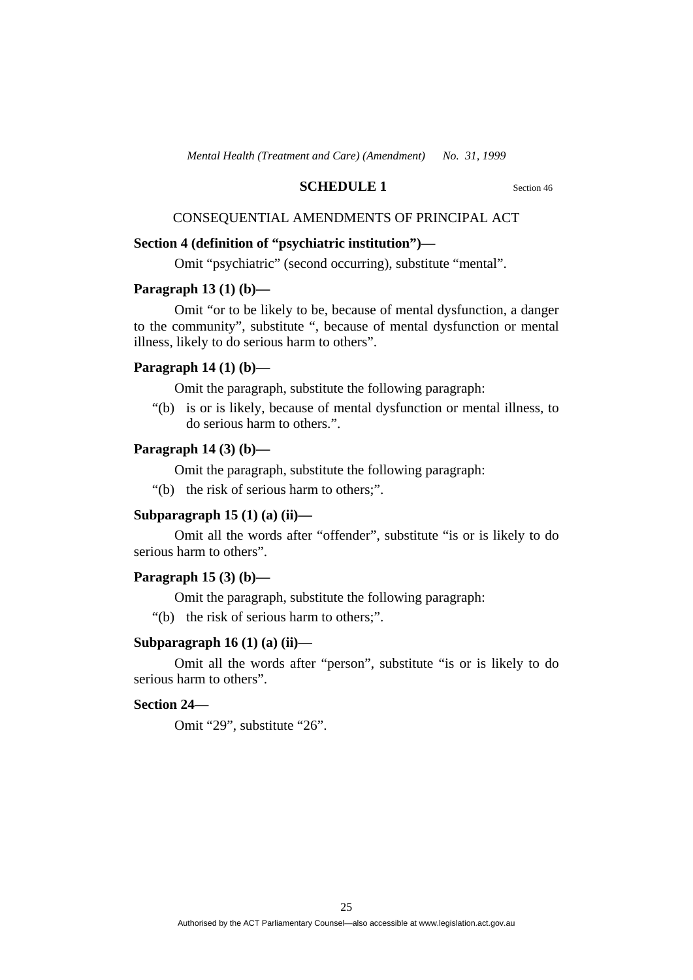### **SCHEDULE 1** Section 46

# CONSEQUENTIAL AMENDMENTS OF PRINCIPAL ACT

# **Section 4 (definition of "psychiatric institution")—**

Omit "psychiatric" (second occurring), substitute "mental".

### **Paragraph 13 (1) (b)—**

 Omit "or to be likely to be, because of mental dysfunction, a danger to the community", substitute ", because of mental dysfunction or mental illness, likely to do serious harm to others".

# **Paragraph 14 (1) (b)—**

Omit the paragraph, substitute the following paragraph:

 "(b) is or is likely, because of mental dysfunction or mental illness, to do serious harm to others.".

# **Paragraph 14 (3) (b)—**

Omit the paragraph, substitute the following paragraph:

"(b) the risk of serious harm to others;".

### **Subparagraph 15 (1) (a) (ii)—**

 Omit all the words after "offender", substitute "is or is likely to do serious harm to others".

#### **Paragraph 15 (3) (b)—**

Omit the paragraph, substitute the following paragraph:

"(b) the risk of serious harm to others;".

### **Subparagraph 16 (1) (a) (ii)—**

 Omit all the words after "person", substitute "is or is likely to do serious harm to others".

#### **Section 24—**

Omit "29", substitute "26".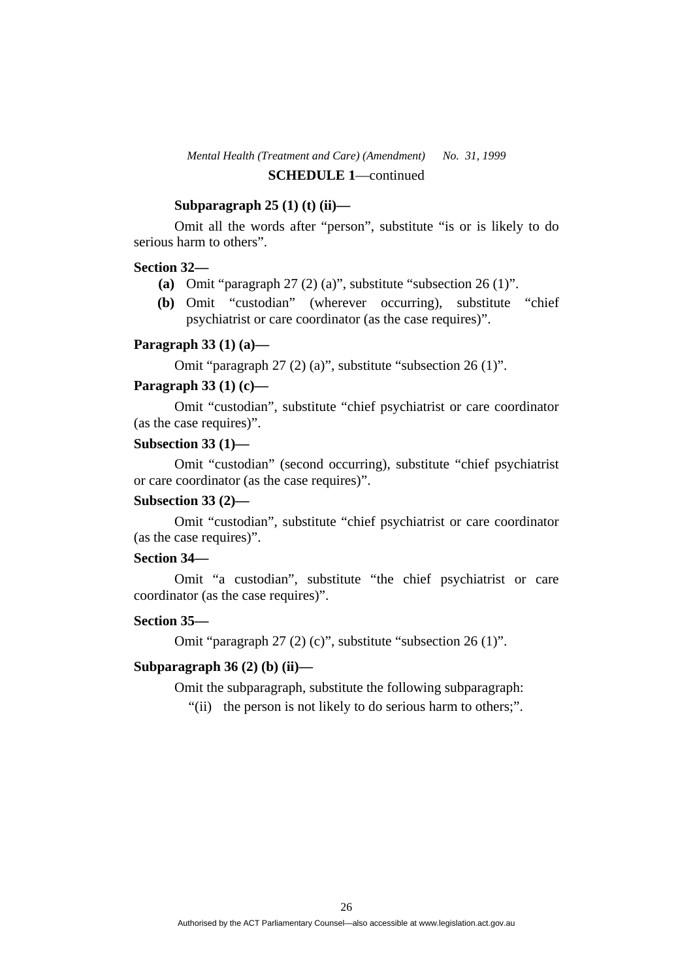# *Mental Health (Treatment and Care) (Amendment) No. 31, 1999* **SCHEDULE 1**—continued

# **Subparagraph 25 (1) (t) (ii)—**

 Omit all the words after "person", substitute "is or is likely to do serious harm to others".

#### **Section 32—**

- **(a)** Omit "paragraph 27 (2) (a)", substitute "subsection 26 (1)".
- **(b)** Omit "custodian" (wherever occurring), substitute "chief psychiatrist or care coordinator (as the case requires)".

### **Paragraph 33 (1) (a)—**

Omit "paragraph 27 (2) (a)", substitute "subsection 26 (1)".

# **Paragraph 33 (1) (c)—**

Omit "custodian", substitute "chief psychiatrist or care coordinator (as the case requires)".

#### **Subsection 33 (1)—**

Omit "custodian" (second occurring), substitute "chief psychiatrist or care coordinator (as the case requires)".

### **Subsection 33 (2)—**

Omit "custodian", substitute "chief psychiatrist or care coordinator (as the case requires)".

# **Section 34—**

Omit "a custodian", substitute "the chief psychiatrist or care coordinator (as the case requires)".

# **Section 35—**

Omit "paragraph 27 (2) (c)", substitute "subsection 26 (1)".

#### **Subparagraph 36 (2) (b) (ii)—**

Omit the subparagraph, substitute the following subparagraph:

"(ii) the person is not likely to do serious harm to others;".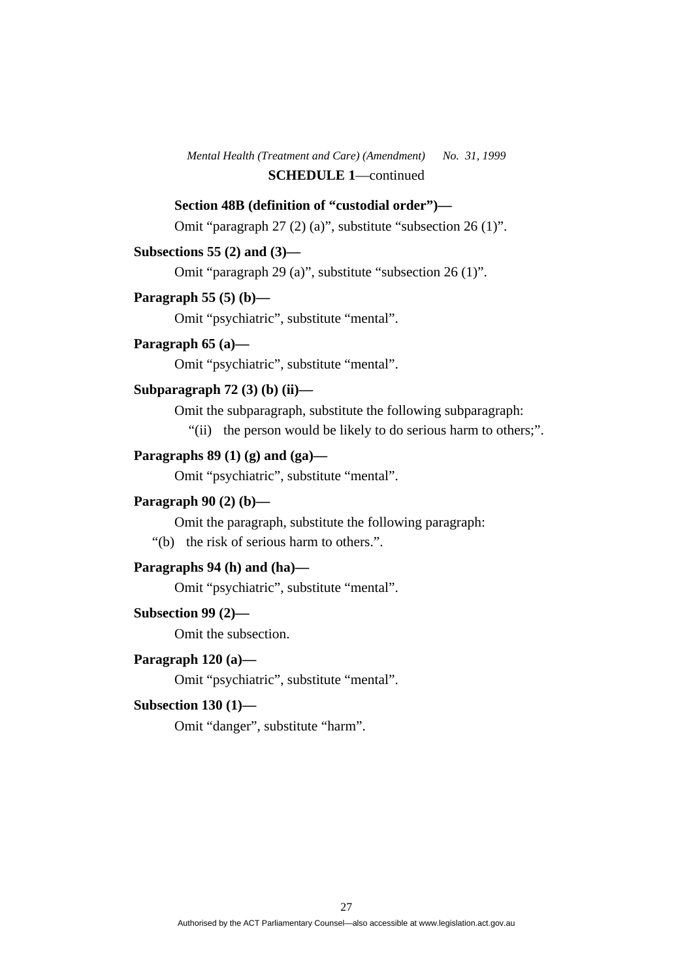*Mental Health (Treatment and Care) (Amendment) No. 31, 1999* **SCHEDULE 1**—continued

### **Section 48B (definition of "custodial order")—**

Omit "paragraph 27 (2) (a)", substitute "subsection 26 (1)".

# **Subsections 55 (2) and (3)—**

Omit "paragraph 29 (a)", substitute "subsection 26 (1)".

#### **Paragraph 55 (5) (b)—**

Omit "psychiatric", substitute "mental".

# **Paragraph 65 (a)—**

Omit "psychiatric", substitute "mental".

# **Subparagraph 72 (3) (b) (ii)—**

Omit the subparagraph, substitute the following subparagraph:

"(ii) the person would be likely to do serious harm to others;".

# **Paragraphs 89 (1) (g) and (ga)—**

Omit "psychiatric", substitute "mental".

#### **Paragraph 90 (2) (b)—**

Omit the paragraph, substitute the following paragraph:

"(b) the risk of serious harm to others.".

# **Paragraphs 94 (h) and (ha)—**

Omit "psychiatric", substitute "mental".

### **Subsection 99 (2)—**

Omit the subsection.

# **Paragraph 120 (a)—**

Omit "psychiatric", substitute "mental".

#### **Subsection 130 (1)—**

Omit "danger", substitute "harm".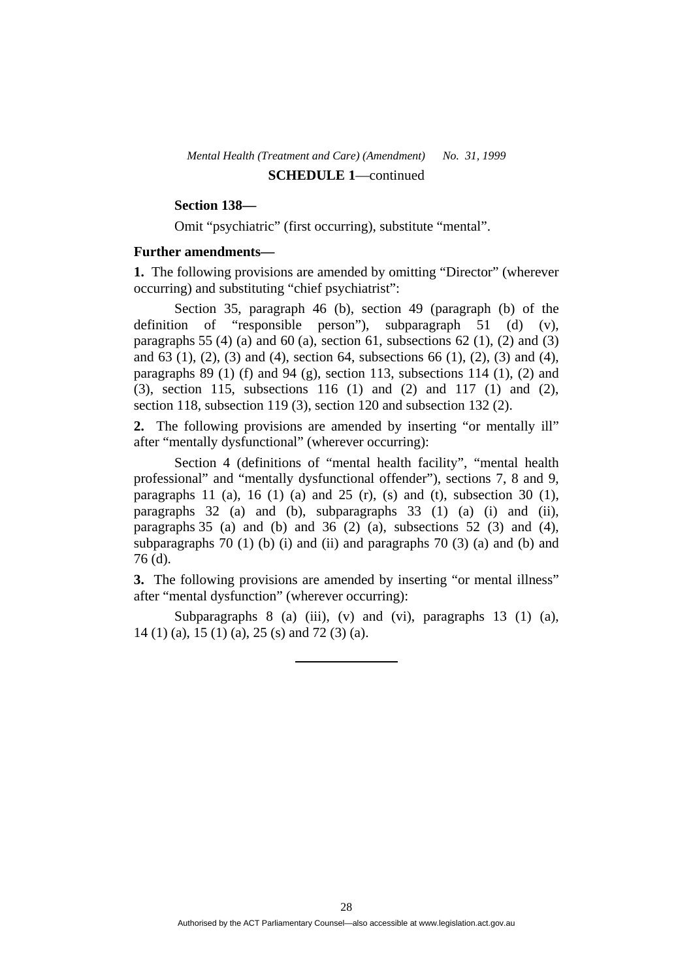# *Mental Health (Treatment and Care) (Amendment) No. 31, 1999* **SCHEDULE 1**—continued

# **Section 138—**

Omit "psychiatric" (first occurring), substitute "mental".

#### **Further amendments—**

**1.** The following provisions are amended by omitting "Director" (wherever occurring) and substituting "chief psychiatrist":

 Section 35, paragraph 46 (b), section 49 (paragraph (b) of the definition of "responsible person"), subparagraph 51 (d) (v), paragraphs 55 (4) (a) and 60 (a), section 61, subsections 62 (1), (2) and (3) and 63 (1), (2), (3) and (4), section 64, subsections 66 (1), (2), (3) and (4), paragraphs  $89$  (1) (f) and  $94$  (g), section 113, subsections 114 (1), (2) and (3), section 115, subsections 116 (1) and (2) and 117 (1) and (2), section 118, subsection 119 (3), section 120 and subsection 132 (2).

**2.** The following provisions are amended by inserting "or mentally ill" after "mentally dysfunctional" (wherever occurring):

 Section 4 (definitions of "mental health facility", "mental health professional" and "mentally dysfunctional offender"), sections 7, 8 and 9, paragraphs 11 (a), 16 (1) (a) and 25 (r), (s) and (t), subsection 30 (1), paragraphs 32 (a) and (b), subparagraphs 33 (1) (a) (i) and (ii), paragraphs 35 (a) and (b) and 36 (2) (a), subsections 52 (3) and (4), subparagraphs 70 (1) (b) (i) and (ii) and paragraphs 70 (3) (a) and (b) and 76 (d).

**3.** The following provisions are amended by inserting "or mental illness" after "mental dysfunction" (wherever occurring):

Subparagraphs  $8$  (a) (iii), (v) and (vi), paragraphs 13 (1) (a), 14 (1) (a), 15 (1) (a), 25 (s) and 72 (3) (a).